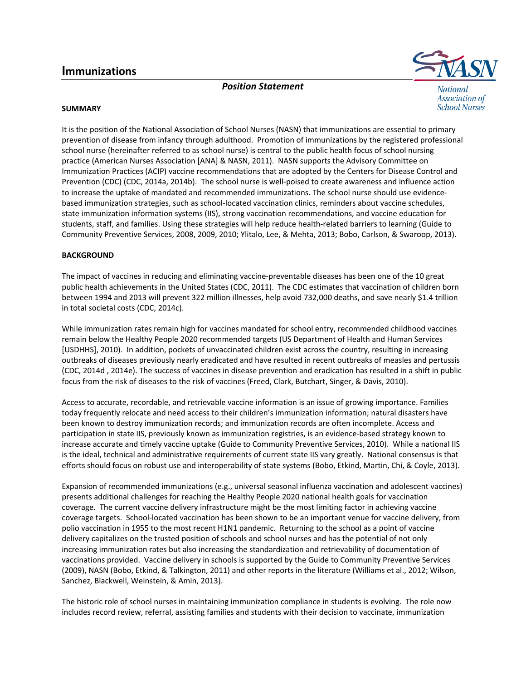# **Immunizations**

*Position Statement*



**School Nurses** 

**SUMMARY**

It is the position of the National Association of School Nurses (NASN) that immunizations are essential to primary prevention of disease from infancy through adulthood. Promotion of immunizations by the registered professional school nurse (hereinafter referred to as school nurse) is central to the public health focus of school nursing practice (American Nurses Association [ANA] & NASN, 2011). NASN supports the Advisory Committee on Immunization Practices (ACIP) vaccine recommendations that are adopted by the Centers for Disease Control and Prevention (CDC) (CDC, 2014a, 2014b). The school nurse is well‐poised to create awareness and influence action to increase the uptake of mandated and recommended immunizations. The school nurse should use evidence‐ based immunization strategies, such as school-located vaccination clinics, reminders about vaccine schedules, state immunization information systems (IIS), strong vaccination recommendations, and vaccine education for students, staff, and families. Using these strategies will help reduce health-related barriers to learning (Guide to Community Preventive Services, 2008, 2009, 2010; Ylitalo, Lee, & Mehta, 2013; Bobo, Carlson, & Swaroop, 2013).

### **BACKGROUND**

The impact of vaccines in reducing and eliminating vaccine‐preventable diseases has been one of the 10 great public health achievements in the United States (CDC, 2011). The CDC estimates that vaccination of children born between 1994 and 2013 will prevent 322 million illnesses, help avoid 732,000 deaths, and save nearly \$1.4 trillion in total societal costs (CDC, 2014c).

While immunization rates remain high for vaccines mandated for school entry, recommended childhood vaccines remain below the Healthy People 2020 recommended targets (US Department of Health and Human Services [USDHHS], 2010). In addition, pockets of unvaccinated children exist across the country, resulting in increasing outbreaks of diseases previously nearly eradicated and have resulted in recent outbreaks of measles and pertussis (CDC, 2014d , 2014e). The success of vaccines in disease prevention and eradication has resulted in a shift in public focus from the risk of diseases to the risk of vaccines (Freed, Clark, Butchart, Singer, & Davis, 2010).

Access to accurate, recordable, and retrievable vaccine information is an issue of growing importance. Families today frequently relocate and need access to their children's immunization information; natural disasters have been known to destroy immunization records; and immunization records are often incomplete. Access and participation in state IIS, previously known as immunization registries, is an evidence-based strategy known to increase accurate and timely vaccine uptake (Guide to Community Preventive Services, 2010). While a national IIS is the ideal, technical and administrative requirements of current state IIS vary greatly. National consensus is that efforts should focus on robust use and interoperability of state systems (Bobo, Etkind, Martin, Chi, & Coyle, 2013).

Expansion of recommended immunizations (e.g., universal seasonal influenza vaccination and adolescent vaccines) presents additional challenges for reaching the Healthy People 2020 national health goals for vaccination coverage. The current vaccine delivery infrastructure might be the most limiting factor in achieving vaccine coverage targets. School‐located vaccination has been shown to be an important venue for vaccine delivery, from polio vaccination in 1955 to the most recent H1N1 pandemic. Returning to the school as a point of vaccine delivery capitalizes on the trusted position of schools and school nurses and has the potential of not only increasing immunization rates but also increasing the standardization and retrievability of documentation of vaccinations provided. Vaccine delivery in schools is supported by the Guide to Community Preventive Services (2009), NASN (Bobo, Etkind, & Talkington, 2011) and other reports in the literature (Williams et al., 2012; Wilson, Sanchez, Blackwell, Weinstein, & Amin, 2013).

The historic role of school nurses in maintaining immunization compliance in students is evolving. The role now includes record review, referral, assisting families and students with their decision to vaccinate, immunization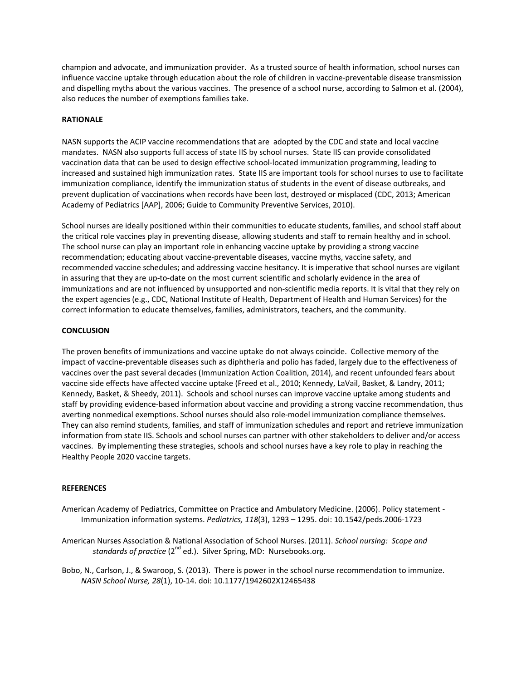champion and advocate, and immunization provider. As a trusted source of health information, school nurses can influence vaccine uptake through education about the role of children in vaccine‐preventable disease transmission and dispelling myths about the various vaccines. The presence of a school nurse, according to Salmon et al. (2004), also reduces the number of exemptions families take.

## **RATIONALE**

NASN supports the ACIP vaccine recommendations that are adopted by the CDC and state and local vaccine mandates. NASN also supports full access of state IIS by school nurses. State IIS can provide consolidated vaccination data that can be used to design effective school‐located immunization programming, leading to increased and sustained high immunization rates.State IIS are important tools for school nurses to use to facilitate immunization compliance, identify the immunization status of students in the event of disease outbreaks, and prevent duplication of vaccinations when records have been lost, destroyed or misplaced (CDC, 2013; American Academy of Pediatrics [AAP], 2006; Guide to Community Preventive Services, 2010).

School nurses are ideally positioned within their communities to educate students, families, and school staff about the critical role vaccines play in preventing disease, allowing students and staff to remain healthy and in school. The school nurse can play an important role in enhancing vaccine uptake by providing a strong vaccine recommendation; educating about vaccine‐preventable diseases, vaccine myths, vaccine safety, and recommended vaccine schedules; and addressing vaccine hesitancy. It is imperative that school nurses are vigilant in assuring that they are up-to-date on the most current scientific and scholarly evidence in the area of immunizations and are not influenced by unsupported and non-scientific media reports. It is vital that they rely on the expert agencies (e.g., CDC, National Institute of Health, Department of Health and Human Services) for the correct information to educate themselves, families, administrators, teachers, and the community.

#### **CONCLUSION**

The proven benefits of immunizations and vaccine uptake do not always coincide. Collective memory of the impact of vaccine‐preventable diseases such as diphtheria and polio has faded, largely due to the effectiveness of vaccines over the past several decades (Immunization Action Coalition, 2014), and recent unfounded fears about vaccine side effects have affected vaccine uptake (Freed et al., 2010; Kennedy, LaVail, Basket, & Landry, 2011; Kennedy, Basket, & Sheedy, 2011). Schools and school nurses can improve vaccine uptake among students and staff by providing evidence‐based information about vaccine and providing a strong vaccine recommendation, thus averting nonmedical exemptions. School nurses should also role‐model immunization compliance themselves. They can also remind students, families, and staff of immunization schedules and report and retrieve immunization information from state IIS. Schools and school nurses can partner with other stakeholders to deliver and/or access vaccines. By implementing these strategies, schools and school nurses have a key role to play in reaching the Healthy People 2020 vaccine targets.

#### **REFERENCES**

- American Academy of Pediatrics, Committee on Practice and Ambulatory Medicine. (2006). Policy statement ‐ Immunization information systems. *Pediatrics, 118*(3), 1293 – 1295. doi: 10.1542/peds.2006‐1723
- American Nurses Association & National Association of School Nurses. (2011). *School nursing: Scope and standards of practice* (2<sup>nd</sup> ed.). Silver Spring, MD: Nursebooks.org.
- Bobo, N., Carlson, J., & Swaroop, S. (2013). There is power in the school nurse recommendation to immunize. *NASN School Nurse, 28*(1), 10‐14. doi: 10.1177/1942602X12465438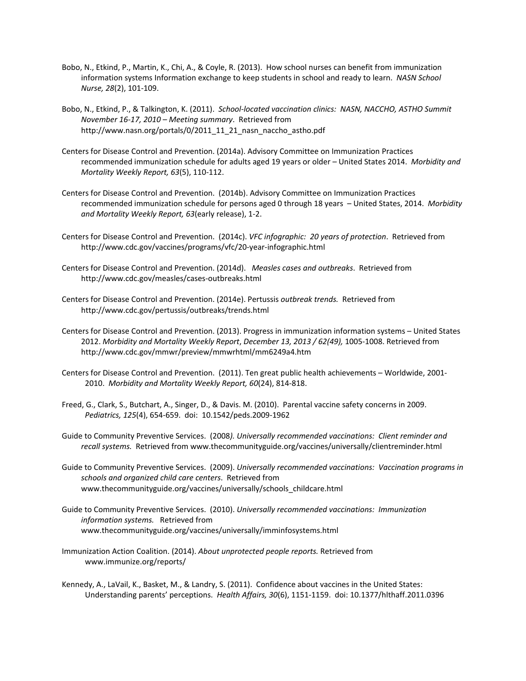- Bobo, N., Etkind, P., Martin, K., Chi, A., & Coyle, R. (2013). How school nurses can benefit from immunization information systems Information exchange to keep students in school and ready to learn. *NASN School Nurse, 28*(2), 101‐109.
- Bobo, N., Etkind, P., & Talkington, K. (2011). *School‐located vaccination clinics: NASN, NACCHO, ASTHO Summit November 16‐17, 2010 – Meeting summary*. Retrieved from http://www.nasn.org/portals/0/2011\_11\_21\_nasn\_naccho\_astho.pdf
- Centers for Disease Control and Prevention. (2014a). Advisory Committee on Immunization Practices recommended immunization schedule for adults aged 19 years or older – United States 2014. *Morbidity and Mortality Weekly Report, 63*(5), 110‐112.
- Centers for Disease Control and Prevention. (2014b). Advisory Committee on Immunization Practices recommended immunization schedule for persons aged 0 through 18 years – United States, 2014. *Morbidity and Mortality Weekly Report, 63*(early release), 1‐2.
- Centers for Disease Control and Prevention. (2014c). *VFC infographic: 20 years of protection*. Retrieved from http://www.cdc.gov/vaccines/programs/vfc/20‐year‐infographic.html
- Centers for Disease Control and Prevention. (2014d). *Measles cases and outbreaks*. Retrieved from http://www.cdc.gov/measles/cases‐outbreaks.html
- Centers for Disease Control and Prevention. (2014e). Pertussis *outbreak trends.* Retrieved from http://www.cdc.gov/pertussis/outbreaks/trends.html
- Centers for Disease Control and Prevention. (2013). Progress in immunization information systems United States 2012. *Morbidity and Mortality Weekly Report*, *December 13, 2013 / 62(49),* 1005‐1008. Retrieved from http://www.cdc.gov/mmwr/preview/mmwrhtml/mm6249a4.htm
- Centers for Disease Control and Prevention. (2011). Ten great public health achievements Worldwide, 2001‐ 2010. *Morbidity and Mortality Weekly Report, 60*(24), 814‐818.
- Freed, G., Clark, S., Butchart, A., Singer, D., & Davis. M. (2010). Parental vaccine safety concerns in 2009. *Pediatrics, 125*(4), 654‐659. doi: 10.1542/peds.2009‐1962
- Guide to Community Preventive Services. (2008*). Universally recommended vaccinations: Client reminder and recall systems.* Retrieved from www.thecommunityguide.org/vaccines/universally/clientreminder.html
- Guide to Community Preventive Services. (2009). *Universally recommended vaccinations: Vaccination programs in schools and organized child care centers*. Retrieved from www.thecommunityguide.org/vaccines/universally/schools\_childcare.html
- Guide to Community Preventive Services. (2010). *Universally recommended vaccinations: Immunization information systems.* Retrieved from www.thecommunityguide.org/vaccines/universally/imminfosystems.html
- Immunization Action Coalition. (2014). *About unprotected people reports.* Retrieved from www.immunize.org/reports/
- Kennedy, A., LaVail, K., Basket, M., & Landry, S. (2011). Confidence about vaccines in the United States: Understanding parents' perceptions. *Health Affairs, 30*(6), 1151‐1159. doi: 10.1377/hlthaff.2011.0396